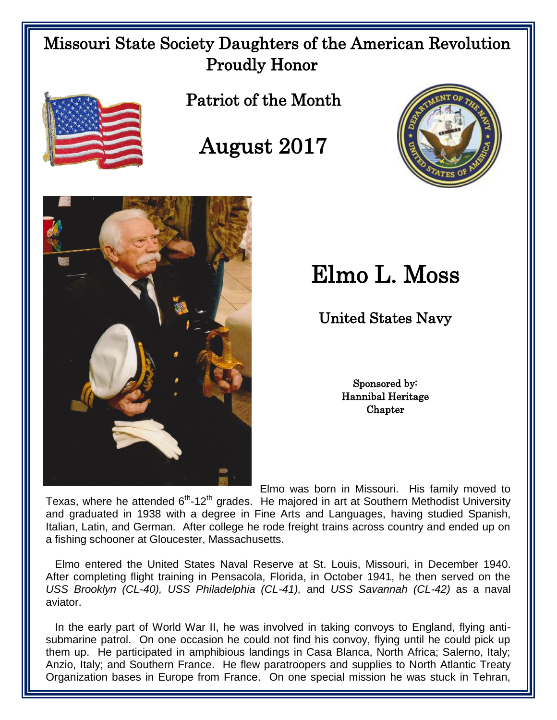## Missouri State Society Daughters of the American Revolution Proudly Honor



 $\overline{\phantom{a}}$  $\overline{\phantom{a}}$  $\overline{\phantom{a}}$ 

 $\overline{\phantom{a}}$  $\overline{\phantom{a}}$ 

  Patriot of the Month







## Elmo L. Moss

United States Navy

Sponsored by: Hannibal Heritage Chapter

Elmo was born in Missouri. His family moved to

Texas, where he attended 6<sup>th</sup>-12<sup>th</sup> grades. He majored in art at Southern Methodist University and graduated in 1938 with a degree in Fine Arts and Languages, having studied Spanish, Italian, Latin, and German. After college he rode freight trains across country and ended up on a fishing schooner at Gloucester, Massachusetts.

 Elmo entered the United States Naval Reserve at St. Louis, Missouri, in December 1940. After completing flight training in Pensacola, Florida, in October 1941, he then served on the *USS Brooklyn (CL-40), USS Philadelphia (CL-41),* and *USS Savannah (CL-42)* as a naval aviator.

 In the early part of World War II, he was involved in taking convoys to England, flying antisubmarine patrol. On one occasion he could not find his convoy, flying until he could pick up them up. He participated in amphibious landings in Casa Blanca, North Africa; Salerno, Italy; Anzio, Italy; and Southern France. He flew paratroopers and supplies to North Atlantic Treaty Organization bases in Europe from France. On one special mission he was stuck in Tehran,